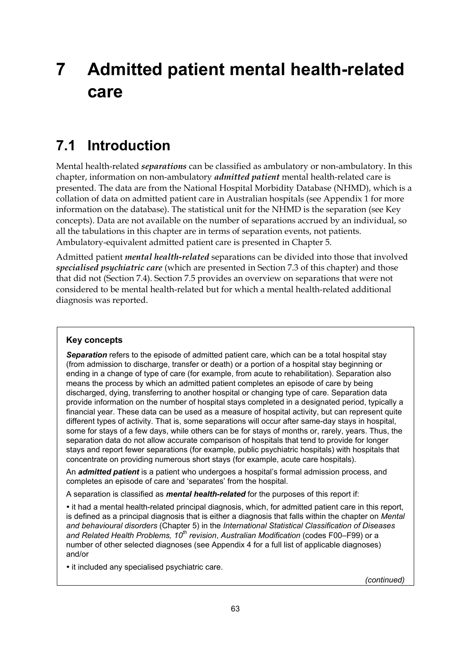# **7 Admitted patient mental health-related care**

## **7.1 Introduction**

Mental health-related *separations* can be classified as ambulatory or non-ambulatory. In this chapter, information on non-ambulatory *admitted patient* mental health-related care is presented. The data are from the National Hospital Morbidity Database (NHMD), which is a collation of data on admitted patient care in Australian hospitals (see Appendix 1 for more information on the database). The statistical unit for the NHMD is the separation (see Key concepts). Data are not available on the number of separations accrued by an individual, so all the tabulations in this chapter are in terms of separation events, not patients. Ambulatory-equivalent admitted patient care is presented in Chapter 5.

Admitted patient *mental health-related* separations can be divided into those that involved *specialised psychiatric care* (which are presented in Section 7.3 of this chapter) and those that did not (Section 7.4). Section 7.5 provides an overview on separations that were not considered to be mental health-related but for which a mental health-related additional diagnosis was reported.

#### **Key concepts**

*Separation* refers to the episode of admitted patient care, which can be a total hospital stay (from admission to discharge, transfer or death) or a portion of a hospital stay beginning or ending in a change of type of care (for example, from acute to rehabilitation). Separation also means the process by which an admitted patient completes an episode of care by being discharged, dying, transferring to another hospital or changing type of care. Separation data provide information on the number of hospital stays completed in a designated period, typically a financial year. These data can be used as a measure of hospital activity, but can represent quite different types of activity. That is, some separations will occur after same-day stays in hospital, some for stays of a few days, while others can be for stays of months or, rarely, years. Thus, the separation data do not allow accurate comparison of hospitals that tend to provide for longer stays and report fewer separations (for example, public psychiatric hospitals) with hospitals that concentrate on providing numerous short stays (for example, acute care hospitals).

An *admitted patient* is a patient who undergoes a hospital's formal admission process, and completes an episode of care and 'separates' from the hospital.

A separation is classified as *mental health-related* for the purposes of this report if:

• it had a mental health-related principal diagnosis, which, for admitted patient care in this report, is defined as a principal diagnosis that is either a diagnosis that falls within the chapter on *Mental and behavioural disorders* (Chapter 5) in the *International Statistical Classification of Diseases and Related Health Problems, 10th revision*, *Australian Modification* (codes F00–F99) or a number of other selected diagnoses (see Appendix 4 for a full list of applicable diagnoses) and/or

• it included any specialised psychiatric care.

*(continued)*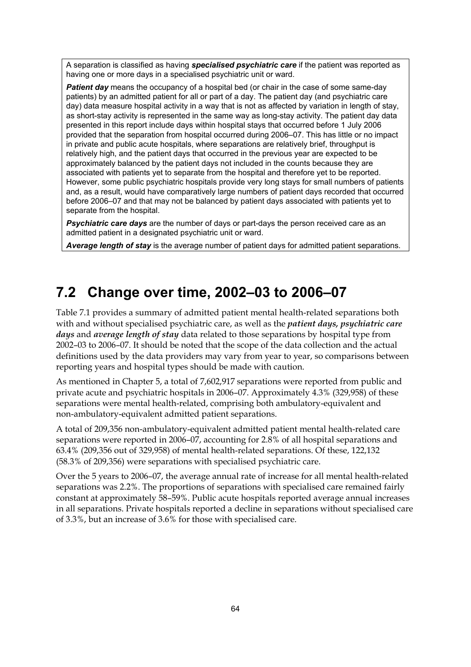A separation is classified as having *specialised psychiatric care* if the patient was reported as having one or more days in a specialised psychiatric unit or ward.

**Patient day** means the occupancy of a hospital bed (or chair in the case of some same-day patients) by an admitted patient for all or part of a day. The patient day (and psychiatric care day) data measure hospital activity in a way that is not as affected by variation in length of stay, as short-stay activity is represented in the same way as long-stay activity. The patient day data presented in this report include days within hospital stays that occurred before 1 July 2006 provided that the separation from hospital occurred during 2006–07. This has little or no impact in private and public acute hospitals, where separations are relatively brief, throughput is relatively high, and the patient days that occurred in the previous year are expected to be approximately balanced by the patient days not included in the counts because they are associated with patients yet to separate from the hospital and therefore yet to be reported. However, some public psychiatric hospitals provide very long stays for small numbers of patients and, as a result, would have comparatively large numbers of patient days recorded that occurred before 2006–07 and that may not be balanced by patient days associated with patients yet to separate from the hospital.

**Psychiatric care days** are the number of days or part-days the person received care as an admitted patient in a designated psychiatric unit or ward.

*Average length of stay* is the average number of patient days for admitted patient separations.

## **7.2 Change over time, 2002–03 to 2006–07**

Table 7.1 provides a summary of admitted patient mental health-related separations both with and without specialised psychiatric care, as well as the *patient days, psychiatric care days* and *average length of stay* data related to those separations by hospital type from 2002–03 to 2006–07. It should be noted that the scope of the data collection and the actual definitions used by the data providers may vary from year to year, so comparisons between reporting years and hospital types should be made with caution.

As mentioned in Chapter 5, a total of 7,602,917 separations were reported from public and private acute and psychiatric hospitals in 2006–07. Approximately 4.3% (329,958) of these separations were mental health-related, comprising both ambulatory-equivalent and non-ambulatory-equivalent admitted patient separations.

A total of 209,356 non-ambulatory-equivalent admitted patient mental health-related care separations were reported in 2006–07, accounting for 2.8% of all hospital separations and 63.4% (209,356 out of 329,958) of mental health-related separations. Of these, 122,132 (58.3% of 209,356) were separations with specialised psychiatric care.

Over the 5 years to 2006–07, the average annual rate of increase for all mental health-related separations was 2.2%. The proportions of separations with specialised care remained fairly constant at approximately 58–59%. Public acute hospitals reported average annual increases in all separations. Private hospitals reported a decline in separations without specialised care of 3.3%, but an increase of 3.6% for those with specialised care.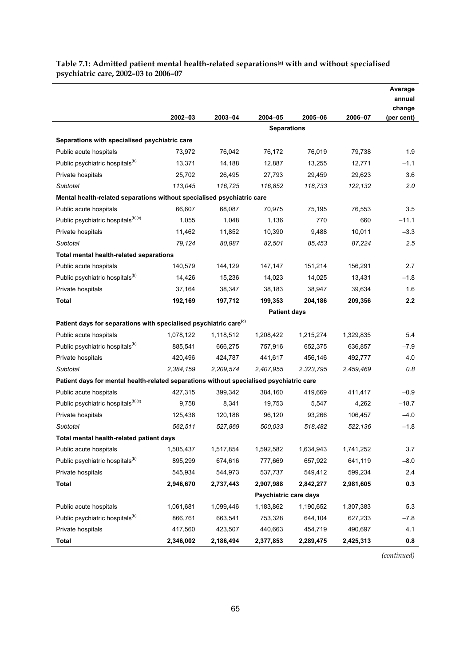#### **Table 7.1: Admitted patient mental health-related separations(a) with and without specialised psychiatric care, 2002–03 to 2006–07**

l,

|                                                                                         |           |           |                       |           |           | Average<br>annual<br>change |
|-----------------------------------------------------------------------------------------|-----------|-----------|-----------------------|-----------|-----------|-----------------------------|
|                                                                                         | 2002-03   | 2003-04   | 2004-05               | 2005-06   | 2006-07   | (per cent)                  |
|                                                                                         |           |           | <b>Separations</b>    |           |           |                             |
| Separations with specialised psychiatric care                                           |           |           |                       |           |           |                             |
| Public acute hospitals                                                                  | 73,972    | 76,042    | 76,172                | 76,019    | 79,738    | 1.9                         |
| Public psychiatric hospitals <sup>(b)</sup>                                             | 13,371    | 14,188    | 12,887                | 13,255    | 12,771    | $-1.1$                      |
| Private hospitals                                                                       | 25,702    | 26,495    | 27,793                | 29,459    | 29,623    | 3.6                         |
| Subtotal                                                                                | 113,045   | 116,725   | 116,852               | 118,733   | 122,132   | 2.0                         |
| Mental health-related separations without specialised psychiatric care                  |           |           |                       |           |           |                             |
| Public acute hospitals                                                                  | 66,607    | 68,087    | 70,975                | 75,195    | 76,553    | 3.5                         |
| Public psychiatric hospitals <sup>(b)(c)</sup>                                          | 1,055     | 1,048     | 1,136                 | 770       | 660       | $-11.1$                     |
| Private hospitals                                                                       | 11,462    | 11,852    | 10,390                | 9,488     | 10,011    | $-3.3$                      |
| Subtotal                                                                                | 79,124    | 80,987    | 82,501                | 85,453    | 87,224    | 2.5                         |
| Total mental health-related separations                                                 |           |           |                       |           |           |                             |
| Public acute hospitals                                                                  | 140,579   | 144,129   | 147,147               | 151,214   | 156,291   | 2.7                         |
| Public psychiatric hospitals <sup>(b)</sup>                                             | 14,426    | 15,236    | 14,023                | 14,025    | 13,431    | $-1.8$                      |
| Private hospitals                                                                       | 37,164    | 38,347    | 38,183                | 38,947    | 39,634    | 1.6                         |
| <b>Total</b>                                                                            | 192,169   | 197,712   | 199,353               | 204,186   | 209,356   | 2.2                         |
|                                                                                         |           |           | <b>Patient days</b>   |           |           |                             |
| Patient days for separations with specialised psychiatric care <sup>(c)</sup>           |           |           |                       |           |           |                             |
| Public acute hospitals                                                                  | 1,078,122 | 1,118,512 | 1,208,422             | 1,215,274 | 1,329,835 | 5.4                         |
| Public psychiatric hospitals <sup>(b)</sup>                                             | 885,541   | 666,275   | 757,916               | 652,375   | 636,857   | $-7.9$                      |
| Private hospitals                                                                       | 420,496   | 424,787   | 441,617               | 456,146   | 492,777   | 4.0                         |
| Subtotal                                                                                | 2,384,159 | 2,209,574 | 2,407,955             | 2,323,795 | 2,459,469 | 0.8                         |
| Patient days for mental health-related separations without specialised psychiatric care |           |           |                       |           |           |                             |
| Public acute hospitals                                                                  | 427,315   | 399,342   | 384,160               | 419,669   | 411,417   | $-0.9$                      |
| Public psychiatric hospitals <sup>(b)(c)</sup>                                          | 9,758     | 8,341     | 19,753                | 5,547     | 4,262     | $-18.7$                     |
| Private hospitals                                                                       | 125,438   | 120,186   | 96,120                | 93,266    | 106,457   | $-4.0$                      |
| Subtotal                                                                                | 562,511   | 527,869   | 500,033               | 518,482   | 522,136   | $-1.8$                      |
| Total mental health-related patient days                                                |           |           |                       |           |           |                             |
| Public acute hospitals                                                                  | 1,505,437 | 1,517,854 | 1,592,582             | 1,634,943 | 1,741,252 | 3.7                         |
| Public psychiatric hospitals <sup>(b)</sup>                                             | 895,299   | 674,616   | 777,669               | 657,922   | 641,119   | $-8.0$                      |
| Private hospitals                                                                       | 545,934   | 544,973   | 537,737               | 549,412   | 599,234   | 2.4                         |
| <b>Total</b>                                                                            | 2,946,670 | 2,737,443 | 2,907,988             | 2,842,277 | 2,981,605 | 0.3                         |
|                                                                                         |           |           | Psychiatric care days |           |           |                             |
| Public acute hospitals                                                                  | 1,061,681 | 1,099,446 | 1,183,862             | 1,190,652 | 1,307,383 | 5.3                         |
| Public psychiatric hospitals <sup>(b)</sup>                                             | 866,761   | 663,541   | 753,328               | 644,104   | 627,233   | $-7.8$                      |
| Private hospitals                                                                       | 417,560   | 423,507   | 440,663               | 454,719   | 490,697   | 4.1                         |
| Total                                                                                   | 2,346,002 | 2,186,494 | 2,377,853             | 2,289,475 | 2,425,313 | 0.8                         |

*(continued)*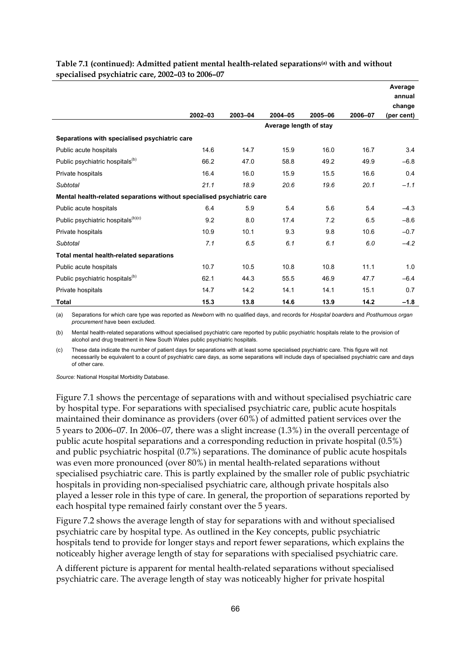|                                                                        |         |         |             |                        |         | Average<br>annual |
|------------------------------------------------------------------------|---------|---------|-------------|------------------------|---------|-------------------|
|                                                                        |         |         |             |                        |         | change            |
|                                                                        | 2002-03 | 2003-04 | $2004 - 05$ | 2005-06                | 2006-07 | (per cent)        |
|                                                                        |         |         |             | Average length of stay |         |                   |
| Separations with specialised psychiatric care                          |         |         |             |                        |         |                   |
| Public acute hospitals                                                 | 14.6    | 14.7    | 15.9        | 16.0                   | 16.7    | 3.4               |
| Public psychiatric hospitals <sup>(b)</sup>                            | 66.2    | 47.0    | 58.8        | 49.2                   | 49.9    | $-6.8$            |
| Private hospitals                                                      | 16.4    | 16.0    | 15.9        | 15.5                   | 16.6    | 0.4               |
| <b>Subtotal</b>                                                        | 21.1    | 18.9    | 20.6        | 19.6                   | 20.1    | $-1.1$            |
| Mental health-related separations without specialised psychiatric care |         |         |             |                        |         |                   |
| Public acute hospitals                                                 | 6.4     | 5.9     | 5.4         | 5.6                    | 5.4     | $-4.3$            |
| Public psychiatric hospitals <sup>(b)(c)</sup>                         | 9.2     | 8.0     | 17.4        | 7.2                    | 6.5     | $-8.6$            |
| Private hospitals                                                      | 10.9    | 10.1    | 9.3         | 9.8                    | 10.6    | $-0.7$            |
| Subtotal                                                               | 7.1     | 6.5     | 6.1         | 6.1                    | 6.0     | $-4.2$            |
| Total mental health-related separations                                |         |         |             |                        |         |                   |
| Public acute hospitals                                                 | 10.7    | 10.5    | 10.8        | 10.8                   | 11.1    | 1.0               |
| Public psychiatric hospitals <sup>(b)</sup>                            | 62.1    | 44.3    | 55.5        | 46.9                   | 47.7    | $-6.4$            |
| Private hospitals                                                      | 14.7    | 14.2    | 14.1        | 14.1                   | 15.1    | 0.7               |
| <b>Total</b>                                                           | 15.3    | 13.8    | 14.6        | 13.9                   | 14.2    | $-1.8$            |

#### **Table 7.1 (continued): Admitted patient mental health-related separations(a) with and without specialised psychiatric care, 2002–03 to 2006–07**

(a) Separations for which care type was reported as *Newborn* with no qualified days, and records for *Hospital boarders* and *Posthumous organ procurement* have been excluded.

(b) Mental health-related separations without specialised psychiatric care reported by public psychiatric hospitals relate to the provision of alcohol and drug treatment in New South Wales public psychiatric hospitals.

(c) These data indicate the number of patient days for separations with at least some specialised psychiatric care. This figure will not necessarily be equivalent to a count of psychiatric care days, as some separations will include days of specialised psychiatric care and days of other care.

*Source:* National Hospital Morbidity Database.

Figure 7.1 shows the percentage of separations with and without specialised psychiatric care by hospital type. For separations with specialised psychiatric care, public acute hospitals maintained their dominance as providers (over 60%) of admitted patient services over the 5 years to 2006–07. In 2006−07, there was a slight increase (1.3%) in the overall percentage of public acute hospital separations and a corresponding reduction in private hospital (0.5%) and public psychiatric hospital (0.7%) separations. The dominance of public acute hospitals was even more pronounced (over 80%) in mental health-related separations without specialised psychiatric care. This is partly explained by the smaller role of public psychiatric hospitals in providing non-specialised psychiatric care, although private hospitals also played a lesser role in this type of care. In general, the proportion of separations reported by each hospital type remained fairly constant over the 5 years.

Figure 7.2 shows the average length of stay for separations with and without specialised psychiatric care by hospital type. As outlined in the Key concepts, public psychiatric hospitals tend to provide for longer stays and report fewer separations, which explains the noticeably higher average length of stay for separations with specialised psychiatric care.

A different picture is apparent for mental health-related separations without specialised psychiatric care. The average length of stay was noticeably higher for private hospital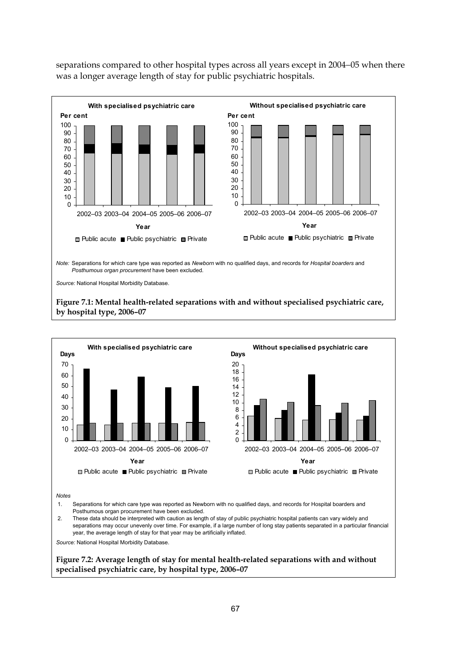separations compared to other hospital types across all years except in 2004−05 when there was a longer average length of stay for public psychiatric hospitals.





2. These data should be interpreted with caution as length of stay of public psychiatric hospital patients can vary widely and separations may occur unevenly over time. For example, if a large number of long stay patients separated in a particular financial year, the average length of stay for that year may be artificially inflated.

*Source:* National Hospital Morbidity Database.

**Figure 7.2: Average length of stay for mental health-related separations with and without specialised psychiatric care, by hospital type, 2006–07**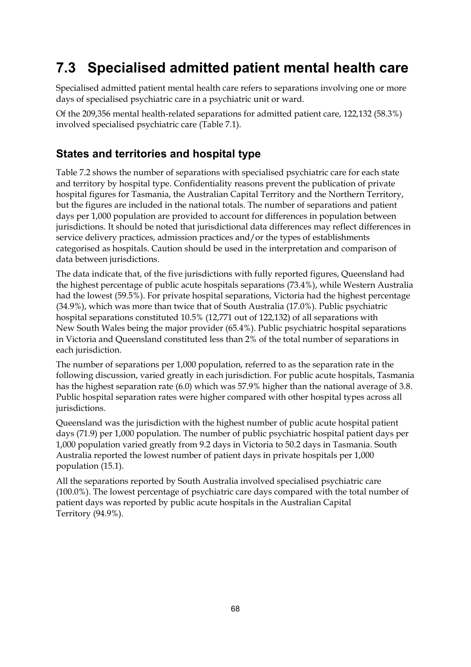## **7.3 Specialised admitted patient mental health care**

Specialised admitted patient mental health care refers to separations involving one or more days of specialised psychiatric care in a psychiatric unit or ward.

Of the 209,356 mental health-related separations for admitted patient care, 122,132 (58.3%) involved specialised psychiatric care (Table 7.1).

### **States and territories and hospital type**

Table 7.2 shows the number of separations with specialised psychiatric care for each state and territory by hospital type. Confidentiality reasons prevent the publication of private hospital figures for Tasmania, the Australian Capital Territory and the Northern Territory, but the figures are included in the national totals. The number of separations and patient days per 1,000 population are provided to account for differences in population between jurisdictions. It should be noted that jurisdictional data differences may reflect differences in service delivery practices, admission practices and/or the types of establishments categorised as hospitals. Caution should be used in the interpretation and comparison of data between jurisdictions.

The data indicate that, of the five jurisdictions with fully reported figures, Queensland had the highest percentage of public acute hospitals separations (73.4%), while Western Australia had the lowest (59.5%). For private hospital separations, Victoria had the highest percentage (34.9%), which was more than twice that of South Australia (17.0%). Public psychiatric hospital separations constituted 10.5% (12,771 out of 122,132) of all separations with New South Wales being the major provider (65.4%). Public psychiatric hospital separations in Victoria and Queensland constituted less than 2% of the total number of separations in each jurisdiction.

The number of separations per 1,000 population, referred to as the separation rate in the following discussion, varied greatly in each jurisdiction. For public acute hospitals, Tasmania has the highest separation rate (6.0) which was 57.9% higher than the national average of 3.8. Public hospital separation rates were higher compared with other hospital types across all jurisdictions.

Queensland was the jurisdiction with the highest number of public acute hospital patient days (71.9) per 1,000 population. The number of public psychiatric hospital patient days per 1,000 population varied greatly from 9.2 days in Victoria to 50.2 days in Tasmania. South Australia reported the lowest number of patient days in private hospitals per 1,000 population (15.1).

All the separations reported by South Australia involved specialised psychiatric care (100.0%). The lowest percentage of psychiatric care days compared with the total number of patient days was reported by public acute hospitals in the Australian Capital Territory (94.9%).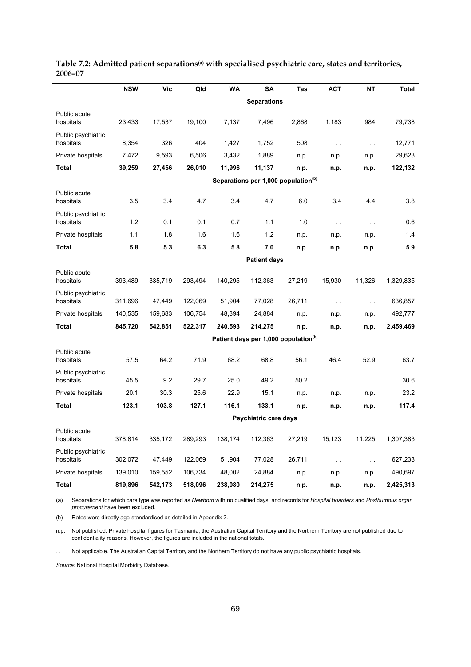|                                 | <b>NSW</b> | Vic     | Qld     | <b>WA</b> | SΑ                    | Tas                                              | <b>ACT</b>    | <b>NT</b>     | Total     |
|---------------------------------|------------|---------|---------|-----------|-----------------------|--------------------------------------------------|---------------|---------------|-----------|
|                                 |            |         |         |           | <b>Separations</b>    |                                                  |               |               |           |
| Public acute<br>hospitals       | 23,433     | 17,537  | 19,100  | 7,137     | 7,496                 | 2,868                                            | 1,183         | 984           | 79,738    |
| Public psychiatric<br>hospitals | 8,354      | 326     | 404     | 1,427     | 1,752                 | 508                                              | $\sim$        | $\sim$        | 12,771    |
| Private hospitals               | 7,472      | 9,593   | 6,506   | 3,432     | 1,889                 | n.p.                                             | n.p.          | n.p.          | 29,623    |
| Total                           | 39,259     | 27,456  | 26,010  | 11,996    | 11,137                | n.p.                                             | n.p.          | n.p.          | 122,132   |
|                                 |            |         |         |           |                       | Separations per 1,000 population <sup>(b)</sup>  |               |               |           |
| Public acute<br>hospitals       | 3.5        | 3.4     | 4.7     | 3.4       | 4.7                   | 6.0                                              | 3.4           | 4.4           | 3.8       |
| Public psychiatric<br>hospitals | 1.2        | 0.1     | 0.1     | 0.7       | 1.1                   | 1.0                                              | $\sim$        | $\sim$        | 0.6       |
| Private hospitals               | 1.1        | 1.8     | 1.6     | 1.6       | 1.2                   | n.p.                                             | n.p.          | n.p.          | 1.4       |
| Total                           | 5.8        | 5.3     | 6.3     | 5.8       | 7.0                   | n.p.                                             | n.p.          | n.p.          | 5.9       |
|                                 |            |         |         |           | <b>Patient days</b>   |                                                  |               |               |           |
| Public acute<br>hospitals       | 393,489    | 335,719 | 293,494 | 140,295   | 112,363               | 27,219                                           | 15,930        | 11,326        | 1,329,835 |
| Public psychiatric<br>hospitals | 311,696    | 47,449  | 122,069 | 51,904    | 77,028                | 26,711                                           | $\sim$ .      | $\sim$        | 636,857   |
| Private hospitals               | 140,535    | 159,683 | 106,754 | 48,394    | 24,884                | n.p.                                             | n.p.          | n.p.          | 492,777   |
| Total                           | 845,720    | 542,851 | 522,317 | 240,593   | 214,275               | n.p.                                             | n.p.          | n.p.          | 2,459,469 |
|                                 |            |         |         |           |                       | Patient days per 1,000 population <sup>(b)</sup> |               |               |           |
| Public acute<br>hospitals       | 57.5       | 64.2    | 71.9    | 68.2      | 68.8                  | 56.1                                             | 46.4          | 52.9          | 63.7      |
| Public psychiatric<br>hospitals | 45.5       | 9.2     | 29.7    | 25.0      | 49.2                  | 50.2                                             | $\sim$ .      | $\sim$ .      | 30.6      |
| Private hospitals               | 20.1       | 30.3    | 25.6    | 22.9      | 15.1                  | n.p.                                             | n.p.          | n.p.          | 23.2      |
| Total                           | 123.1      | 103.8   | 127.1   | 116.1     | 133.1                 | n.p.                                             | n.p.          | n.p.          | 117.4     |
|                                 |            |         |         |           | Psychiatric care days |                                                  |               |               |           |
| Public acute<br>hospitals       | 378,814    | 335,172 | 289,293 | 138,174   | 112,363               | 27,219                                           | 15,123        | 11,225        | 1,307,383 |
| Public psychiatric<br>hospitals | 302,072    | 47,449  | 122,069 | 51,904    | 77,028                | 26,711                                           | $\sim$ $\sim$ | $\sim$ $\sim$ | 627,233   |
| Private hospitals               | 139,010    | 159,552 | 106,734 | 48,002    | 24,884                | n.p.                                             | n.p.          | n.p.          | 490,697   |
| Total                           | 819,896    | 542,173 | 518,096 | 238,080   | 214,275               | n.p.                                             | n.p.          | n.p.          | 2,425,313 |

#### Table 7.2: Admitted patient separations<sup>(a)</sup> with specialised psychiatric care, states and territories, **2006–07**

(a) Separations for which care type was reported as *Newborn* with no qualified days, and records for *Hospital boarders* and *Posthumous organ procurement* have been excluded.

(b) Rates were directly age-standardised as detailed in Appendix 2.

n.p. Not published. Private hospital figures for Tasmania, the Australian Capital Territory and the Northern Territory are not published due to confidentiality reasons. However, the figures are included in the national totals.

. . Not applicable. The Australian Capital Territory and the Northern Territory do not have any public psychiatric hospitals.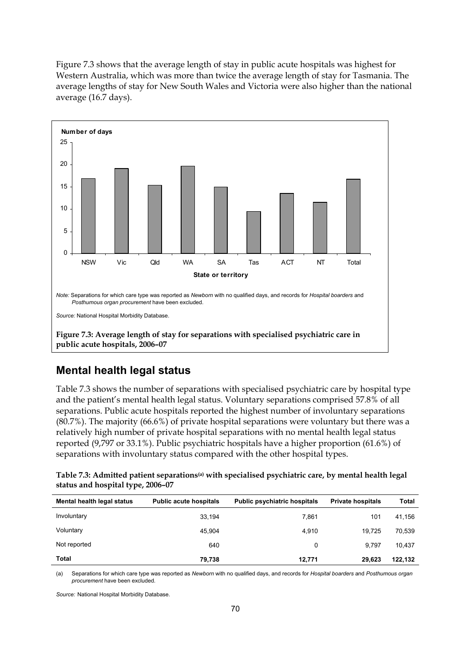Figure 7.3 shows that the average length of stay in public acute hospitals was highest for Western Australia, which was more than twice the average length of stay for Tasmania. The average lengths of stay for New South Wales and Victoria were also higher than the national average (16.7 days).



### **Mental health legal status**

Table 7.3 shows the number of separations with specialised psychiatric care by hospital type and the patient's mental health legal status. Voluntary separations comprised 57.8% of all separations. Public acute hospitals reported the highest number of involuntary separations (80.7%). The majority (66.6%) of private hospital separations were voluntary but there was a relatively high number of private hospital separations with no mental health legal status reported (9,797 or 33.1%). Public psychiatric hospitals have a higher proportion (61.6%) of separations with involuntary status compared with the other hospital types.

**Table 7.3: Admitted patient separations(a) with specialised psychiatric care, by mental health legal status and hospital type, 2006–07** 

| Mental health legal status | <b>Public acute hospitals</b> | <b>Public psychiatric hospitals</b> | <b>Private hospitals</b> | Total   |
|----------------------------|-------------------------------|-------------------------------------|--------------------------|---------|
| Involuntary                | 33,194                        | 7,861                               | 101                      | 41,156  |
| Voluntary                  | 45.904                        | 4,910                               | 19.725                   | 70,539  |
| Not reported               | 640                           | 0                                   | 9.797                    | 10.437  |
| Total                      | 79,738                        | 12.771                              | 29,623                   | 122,132 |

(a) Separations for which care type was reported as *Newborn* with no qualified days, and records for *Hospital boarders* and *Posthumous organ procurement* have been excluded.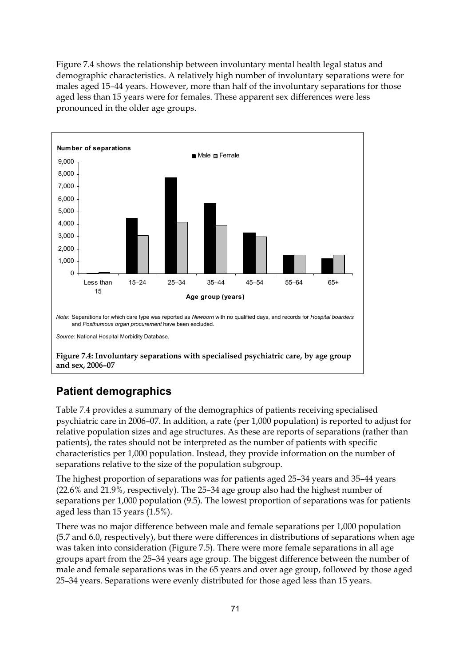Figure 7.4 shows the relationship between involuntary mental health legal status and demographic characteristics. A relatively high number of involuntary separations were for males aged 15–44 years. However, more than half of the involuntary separations for those aged less than 15 years were for females. These apparent sex differences were less pronounced in the older age groups.



### **Patient demographics**

Table 7.4 provides a summary of the demographics of patients receiving specialised psychiatric care in 2006–07. In addition, a rate (per 1,000 population) is reported to adjust for relative population sizes and age structures. As these are reports of separations (rather than patients), the rates should not be interpreted as the number of patients with specific characteristics per 1,000 population. Instead, they provide information on the number of separations relative to the size of the population subgroup.

The highest proportion of separations was for patients aged 25–34 years and 35–44 years (22.6% and 21.9%, respectively). The 25–34 age group also had the highest number of separations per 1,000 population (9.5). The lowest proportion of separations was for patients aged less than 15 years (1.5%).

There was no major difference between male and female separations per 1,000 population (5.7 and 6.0, respectively), but there were differences in distributions of separations when age was taken into consideration (Figure 7.5). There were more female separations in all age groups apart from the 25–34 years age group. The biggest difference between the number of male and female separations was in the 65 years and over age group, followed by those aged 25–34 years. Separations were evenly distributed for those aged less than 15 years.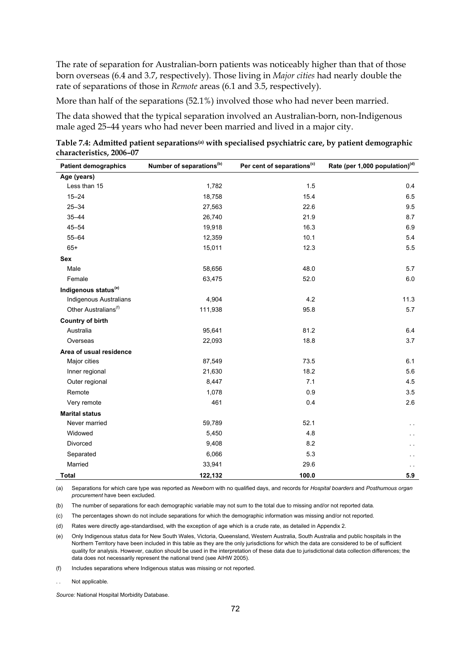The rate of separation for Australian-born patients was noticeably higher than that of those born overseas (6.4 and 3.7, respectively). Those living in *Major cities* had nearly double the rate of separations of those in *Remote* areas (6.1 and 3.5, respectively).

More than half of the separations (52.1%) involved those who had never been married.

The data showed that the typical separation involved an Australian-born, non-Indigenous male aged 25–44 years who had never been married and lived in a major city.

**Table 7.4: Admitted patient separations(a) with specialised psychiatric care, by patient demographic characteristics, 2006–07** 

| <b>Patient demographics</b>      | Number of separations <sup>(b)</sup> | Per cent of separations <sup>(c)</sup> | Rate (per 1,000 population) <sup>(d)</sup> |
|----------------------------------|--------------------------------------|----------------------------------------|--------------------------------------------|
| Age (years)                      |                                      |                                        |                                            |
| Less than 15                     | 1,782                                | 1.5                                    | 0.4                                        |
| $15 - 24$                        | 18,758                               | 15.4                                   | 6.5                                        |
| $25 - 34$                        | 27,563                               | 22.6                                   | 9.5                                        |
| $35 - 44$                        | 26,740                               | 21.9                                   | 8.7                                        |
| $45 - 54$                        | 19,918                               | 16.3                                   | 6.9                                        |
| $55 - 64$                        | 12,359                               | 10.1                                   | 5.4                                        |
| $65+$                            | 15,011                               | 12.3                                   | 5.5                                        |
| Sex                              |                                      |                                        |                                            |
| Male                             | 58,656                               | 48.0                                   | 5.7                                        |
| Female                           | 63,475                               | 52.0                                   | 6.0                                        |
| Indigenous status <sup>(e)</sup> |                                      |                                        |                                            |
| Indigenous Australians           | 4,904                                | 4.2                                    | 11.3                                       |
| Other Australians <sup>(f)</sup> | 111,938                              | 95.8                                   | 5.7                                        |
| <b>Country of birth</b>          |                                      |                                        |                                            |
| Australia                        | 95,641                               | 81.2                                   | 6.4                                        |
| Overseas                         | 22,093                               | 18.8                                   | 3.7                                        |
| Area of usual residence          |                                      |                                        |                                            |
| Major cities                     | 87,549                               | 73.5                                   | 6.1                                        |
| Inner regional                   | 21,630                               | 18.2                                   | 5.6                                        |
| Outer regional                   | 8,447                                | 7.1                                    | 4.5                                        |
| Remote                           | 1,078                                | 0.9                                    | 3.5                                        |
| Very remote                      | 461                                  | 0.4                                    | 2.6                                        |
| <b>Marital status</b>            |                                      |                                        |                                            |
| Never married                    | 59,789                               | 52.1                                   | г.                                         |
| Widowed                          | 5,450                                | 4.8                                    | . .                                        |
| Divorced                         | 9,408                                | 8.2                                    | г.                                         |
| Separated                        | 6,066                                | 5.3                                    |                                            |
| Married                          | 33,941                               | 29.6                                   | . .                                        |
| <b>Total</b>                     | 122,132                              | 100.0                                  | 5.9                                        |

(a) Separations for which care type was reported as *Newborn* with no qualified days, and records for *Hospital boarders* and *Posthumous organ procurement* have been excluded.

(b) The number of separations for each demographic variable may not sum to the total due to missing and/or not reported data.

(c) The percentages shown do not include separations for which the demographic information was missing and/or not reported.

(d) Rates were directly age-standardised, with the exception of age which is a crude rate, as detailed in Appendix 2.

(e) Only Indigenous status data for New South Wales, Victoria, Queensland, Western Australia, South Australia and public hospitals in the Northern Territory have been included in this table as they are the only jurisdictions for which the data are considered to be of sufficient quality for analysis. However, caution should be used in the interpretation of these data due to jurisdictional data collection differences; the data does not necessarily represent the national trend (see AIHW 2005).

(f) Includes separations where Indigenous status was missing or not reported.

Not applicable.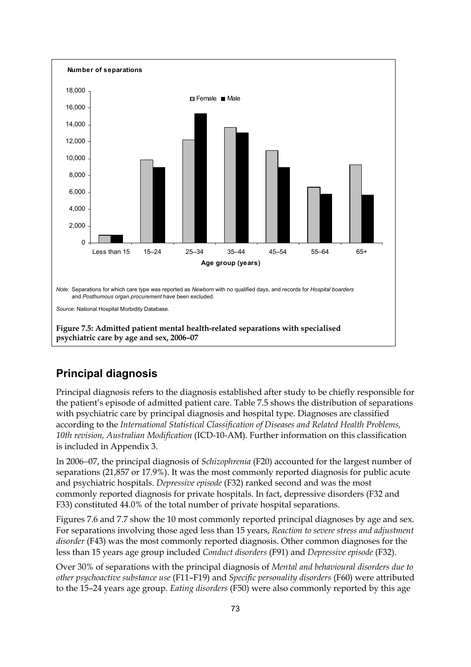

### **Principal diagnosis**

Principal diagnosis refers to the diagnosis established after study to be chiefly responsible for the patient's episode of admitted patient care. Table 7.5 shows the distribution of separations with psychiatric care by principal diagnosis and hospital type. Diagnoses are classified according to the *International Statistical Classification of Diseases and Related Health Problems, 10th revision, Australian Modification* (ICD-10-AM). Further information on this classification is included in Appendix 3.

In 2006−07, the principal diagnosis of *Schizophrenia* (F20) accounted for the largest number of separations (21,857 or 17.9%). It was the most commonly reported diagnosis for public acute and psychiatric hospitals. *Depressive episode* (F32) ranked second and was the most commonly reported diagnosis for private hospitals. In fact, depressive disorders (F32 and F33) constituted 44.0% of the total number of private hospital separations.

Figures 7.6 and 7.7 show the 10 most commonly reported principal diagnoses by age and sex. For separations involving those aged less than 15 years, *Reaction to severe stress and adjustment disorder* (F43) was the most commonly reported diagnosis. Other common diagnoses for the less than 15 years age group included *Conduct disorders* (F91) and *Depressive episode* (F32).

Over 30% of separations with the principal diagnosis of *Mental and behavioural disorders due to other psychoactive substance use* (F11–F19) and *Specific personality disorders* (F60) were attributed to the 15–24 years age group. *Eating disorders* (F50) were also commonly reported by this age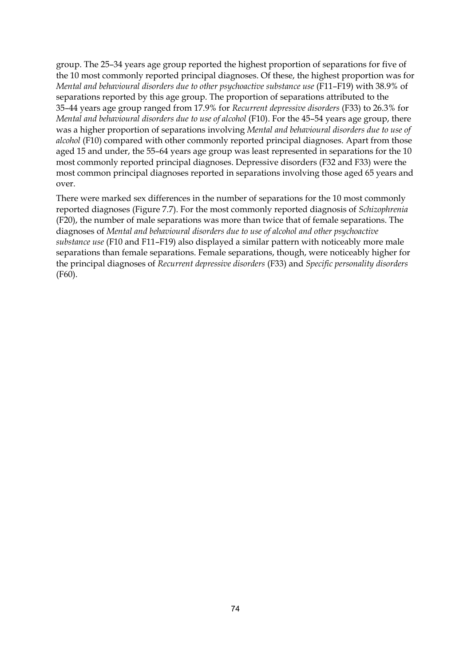group. The 25–34 years age group reported the highest proportion of separations for five of the 10 most commonly reported principal diagnoses. Of these, the highest proportion was for *Mental and behavioural disorders due to other psychoactive substance use* (F11–F19) with 38.9% of separations reported by this age group. The proportion of separations attributed to the 35–44 years age group ranged from 17.9% for *Recurrent depressive disorders* (F33) to 26.3% for *Mental and behavioural disorders due to use of alcohol* (F10). For the 45–54 years age group, there was a higher proportion of separations involving *Mental and behavioural disorders due to use of alcohol* (F10) compared with other commonly reported principal diagnoses. Apart from those aged 15 and under, the 55–64 years age group was least represented in separations for the 10 most commonly reported principal diagnoses. Depressive disorders (F32 and F33) were the most common principal diagnoses reported in separations involving those aged 65 years and over.

There were marked sex differences in the number of separations for the 10 most commonly reported diagnoses (Figure 7.7). For the most commonly reported diagnosis of *Schizophrenia*  (F20), the number of male separations was more than twice that of female separations. The diagnoses of *Mental and behavioural disorders due to use of alcohol and other psychoactive substance use* (F10 and F11–F19) also displayed a similar pattern with noticeably more male separations than female separations. Female separations, though, were noticeably higher for the principal diagnoses of *Recurrent depressive disorders* (F33) and *Specific personality disorders* (F60).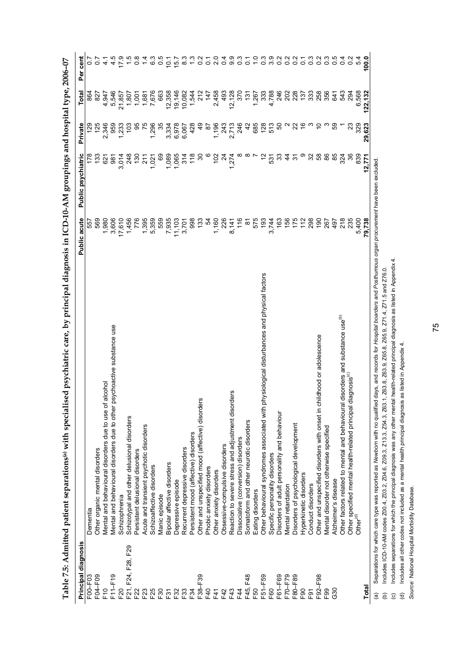| Principal diagnosis |                                                                                                                                                                            | Public acute  | Public psychiatric      | Private                              | Total          | cent<br>per                 |
|---------------------|----------------------------------------------------------------------------------------------------------------------------------------------------------------------------|---------------|-------------------------|--------------------------------------|----------------|-----------------------------|
| F00-F03             | Dementia                                                                                                                                                                   | 557           |                         | $\frac{29}{2}$                       | 864            |                             |
| F04-F09             | Other organic mental disorders                                                                                                                                             | 569           | 133                     | 125                                  | 827            |                             |
| F10                 | Mental and behavioural disorders due to use of alcohol                                                                                                                     | 1,980         | 621                     | 2,346                                | 4,947          | 4                           |
| F11-F19             | psychoactive substance use<br>Mental and behavioural disorders due to other                                                                                                | 3,606         | 981                     | 959                                  | 5,546          | 4.5                         |
| F <sub>20</sub>     | Schizophrenia                                                                                                                                                              | 17,610        | 3,014                   | 233                                  | 21,857         | 17.9                        |
| F21, F24, F28, F29  | Schizotypal and other delusional disorders                                                                                                                                 | 1,456         | 248                     | ဒို                                  | 1,807          | $\frac{5}{1}$               |
| F22                 | Persistent delusional disorders                                                                                                                                            | 776           | $\frac{6}{2}$           | 95                                   | 1,001          | $0.\overline{8}$            |
| F <sub>23</sub>     | Acute and transient psychotic disorders                                                                                                                                    | 1,395         | 211                     |                                      | 1,681          | 1.4                         |
| F25                 | Schizoaffective disorders                                                                                                                                                  | 5,359         | 1,021                   | 1,296                                | 7,676          | 6.5<br>0.5                  |
| F30                 | Manic episode                                                                                                                                                              | 559           | 69                      | 35                                   | 663            |                             |
| F31                 | Bipolar affective disorders                                                                                                                                                | 7,935         | 1,089                   | 3,334                                | 12,358         | 10.1                        |
| F32                 | Depressive episode                                                                                                                                                         | 11,103        | 1,065                   | 6,978                                | 19,146         | 157                         |
| F33                 | Recurrent depressive disorders                                                                                                                                             | 3,701         | 314                     | 6,067                                | 10,082         | $\frac{3}{8}$               |
| F34                 | Persistent mood (affective) disorders                                                                                                                                      | 998           | 18                      | 428                                  | 1,544          |                             |
| F38-F39             | Other and unspecified mood (affective) disorders                                                                                                                           | 133           | 30                      | QP                                   | 212            |                             |
| F40                 | Phobic anxiety disorders                                                                                                                                                   | 54            |                         | 5s                                   | 147            | $\circ$                     |
| F41                 | Other anxiety disorders                                                                                                                                                    | 1,160         | 102                     | 1,196                                | 2,458          | $\mathbf{a}$                |
| F42                 | Obsessive-compulsive disorders                                                                                                                                             | 226           |                         |                                      | 493            | $\circ$                     |
| F43                 | Reaction to severe stress and adjustment disorders                                                                                                                         | 8,141         | 7.274                   | 243<br>2,713                         | 12,128         | 9.9                         |
| F44                 | Dissociative (conversion) disorders                                                                                                                                        | 116           |                         | 246                                  | 370            | $\frac{3}{2}$               |
| F45, F48            | Somatoform and other neurotic disorders                                                                                                                                    | $\approx$     |                         | 42                                   | $\frac{13}{1}$ | $\overline{c}$              |
| F50                 | Eating disorders                                                                                                                                                           | 575           |                         | 685                                  | 1,267          |                             |
| F51-F59             | physiological disturbances and physical factors<br>Other behavioural syndromes associated with                                                                             | 193           | $\tilde{c}$             |                                      | 333            | $\frac{3}{2}$               |
| F60                 | Specific personality disorders                                                                                                                                             | 3,744         | 531                     | $128$<br>513                         | 4,788          | 3.9                         |
| F61-F69             | Disorders of adult personality and behaviour                                                                                                                               | 163           | 33                      | 6                                    | 246            | $\frac{2}{9}$ $\frac{2}{9}$ |
| F70 <sup>-F79</sup> | Mental retardation                                                                                                                                                         | 156           | $rac{4}{4}$ $rac{2}{5}$ |                                      | 202            |                             |
| F80-F89             | Disorders of psychological development                                                                                                                                     | $175$<br>$12$ |                         | $\alpha$ $\beta$ $\epsilon$ $\omega$ | 228            | $\overline{0.2}$            |
| F <sub>90</sub>     | Hyperkinetic disorders                                                                                                                                                     |               |                         |                                      | 137            | $\overline{c}$              |
| F91                 | Conduct disorders                                                                                                                                                          | 298           | 32 <sub>6</sub>         |                                      | 333            | $0.\overline{3}$            |
| F92-F98             | childhood or adolescence<br>Other and unspecified disorders with onset in                                                                                                  | $\frac{6}{2}$ |                         |                                      | 258            | Ņ<br>ö                      |
| F99                 | Mental disorder not otherwise specified                                                                                                                                    | 267           | 86                      |                                      | 356            | $\frac{3}{2}$               |
| G30                 | Alzheimer's disease                                                                                                                                                        | 497           | 85                      |                                      | 641            | 0.5                         |
|                     | Other factors related to mental and behavioural disorders and substance use <sup>(b)</sup>                                                                                 | 218           | 324                     |                                      | 543            | 4<br>Ö                      |
|                     | diagnosis <sup>(c)</sup><br>Other specified mental health-related principal                                                                                                | 235           | 36                      | ಇ                                    | 294            | $\circ$                     |
|                     | Other <sup>(d)</sup>                                                                                                                                                       | 5.400         | 839                     | 329                                  | 6.568          | 4<br>ယ                      |
| <b>Total</b>        |                                                                                                                                                                            | 79,738        | 12.771                  | 623<br>29.                           | 122,132        | 100.0                       |
| $\widehat{a}$       | ed days, and records for Hospital boarders and Posthumous organ procurement have been excluded<br>Separations for which care type was reported as Newborn with no qualifit |               |                         |                                      |                |                             |

Table 7.5: Admitted patient separations<sup>(a)</sup> with specialised psychiatric care, by principal diagnosis in ICD-10-AM groupings and hospital type, 2006–07 **Table 7.5: Admitted patient separations(a) with specialised psychiatric care, by principal diagnosis in ICD-10-AM groupings and hospital type, 2006–07** 

į. ğ,

oeparauuns ior wintui care type was reported as viewworri will ino quallited udys, and records ior rrospidar woarders and rospidario<br>Includes ICD-10-AM codes 200.4, 203.2, 204.6, 209.3, 213.3, 254.3, 263.1, 263.8, 265.9, 2 (b) Includes ICD-10-AM codes Z00.4, Z03.2, Z04.6, Z09.3, Z13.3, Z54.3, Z63.1, Z63.8, Z63.9, Z65.8, Z65.9, Z71.4, Z71.5 and Z76.0.

(c) Includes separations for which the principal diagnosis was any other mental health-related principal diagnosis as listed in Appendix 4. Includes separations for which the principal diagnosis was any other mental health-related principal diagnosis as listed in Appendix 4. (b) Includes ICD-10-AM codes Z00.4, Z03.2, Z04.6, Z09.3, Z13.3, Z54.3, Z63.1, Z63.8, Z63.8, Z65.8, Z6<br>(c) Includes separations for which the principal diagnosis was any other mental health-related principal (d)<br>(d) Include

(d) Includes all other codes not included as a mental health principal diagnosis as listed in Appendix 4.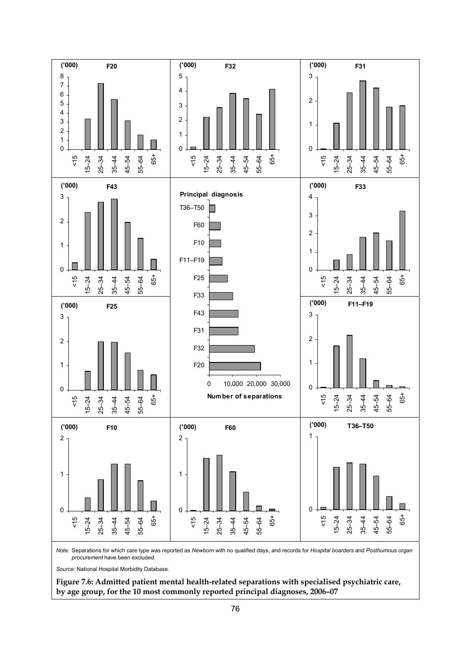

*Note:* Separations for which care type was reported as *Newborn* with no qualified days, and records for *Hospital boarders* and *Posthumous organ procurement* have been excluded.

*Source:* National Hospital Morbidity Database.

**Figure 7.6: Admitted patient mental health-related separations with specialised psychiatric care, by age group, for the 10 most commonly reported principal diagnoses, 2006–07**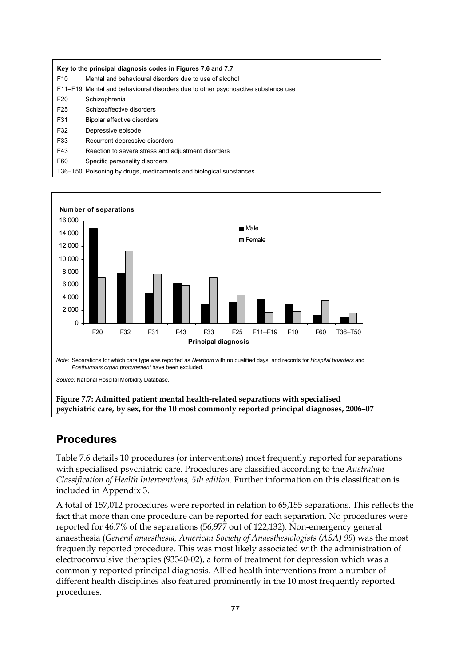|                 | Key to the principal diagnosis codes in Figures 7.6 and 7.7                      |
|-----------------|----------------------------------------------------------------------------------|
| F <sub>10</sub> | Mental and behavioural disorders due to use of alcohol                           |
|                 | F11–F19 Mental and behavioural disorders due to other psychoactive substance use |
| F <sub>20</sub> | Schizophrenia                                                                    |
| F <sub>25</sub> | Schizoaffective disorders                                                        |
| F31             | Bipolar affective disorders                                                      |
| F32             | Depressive episode                                                               |
| F33             | Recurrent depressive disorders                                                   |
| F43             | Reaction to severe stress and adjustment disorders                               |
| F60             | Specific personality disorders                                                   |
|                 | T36–T50 Poisoning by drugs, medicaments and biological substances                |



### **Procedures**

Table 7.6 details 10 procedures (or interventions) most frequently reported for separations with specialised psychiatric care. Procedures are classified according to the *Australian Classification of Health Interventions, 5th edition*. Further information on this classification is included in Appendix 3.

A total of 157,012 procedures were reported in relation to 65,155 separations. This reflects the fact that more than one procedure can be reported for each separation. No procedures were reported for 46.7% of the separations (56,977 out of 122,132). Non-emergency general anaesthesia (*General anaesthesia, American Society of Anaesthesiologists (ASA) 99*) was the most frequently reported procedure. This was most likely associated with the administration of electroconvulsive therapies (93340-02), a form of treatment for depression which was a commonly reported principal diagnosis. Allied health interventions from a number of different health disciplines also featured prominently in the 10 most frequently reported procedures.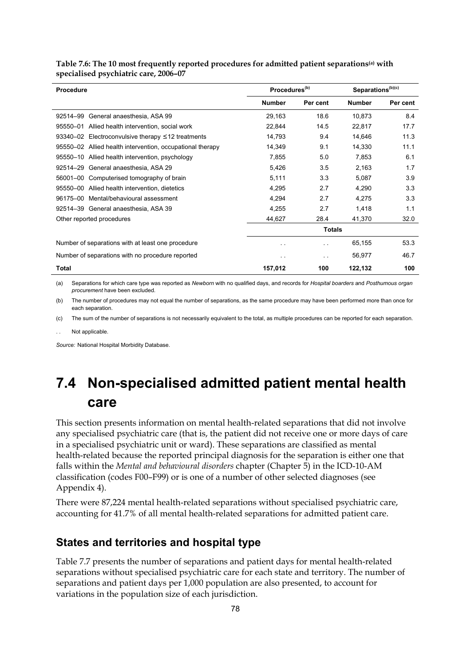| Procedure                                                 | Procedures <sup>(b)</sup> |                      | Separations <sup>(b)(c)</sup> |          |
|-----------------------------------------------------------|---------------------------|----------------------|-------------------------------|----------|
|                                                           | <b>Number</b>             | Per cent             | <b>Number</b>                 | Per cent |
| 92514–99<br>General anaesthesia, ASA 99                   | 29,163                    | 18.6                 | 10,873                        | 8.4      |
| 95550-01 Allied health intervention, social work          | 22,844                    | 14.5                 | 22,817                        | 17.7     |
| 93340-02 Electroconvulsive therapy $\leq$ 12 treatments   | 14,793                    | 9.4                  | 14,646                        | 11.3     |
| 95550-02 Allied health intervention, occupational therapy | 14,349                    | 9.1                  | 14,330                        | 11.1     |
| 95550-10 Allied health intervention, psychology           | 7,855                     | 5.0                  | 7,853                         | 6.1      |
| 92514-29 General anaesthesia, ASA 29                      | 5,426                     | 3.5                  | 2,163                         | 1.7      |
| 56001–00 Computerised tomography of brain                 | 5,111                     | 3.3                  | 5,087                         | 3.9      |
| 95550-00 Allied health intervention, dietetics            | 4,295                     | 2.7                  | 4,290                         | 3.3      |
| 96175-00 Mental/behavioural assessment                    | 4,294                     | 2.7                  | 4,275                         | 3.3      |
| 92514-39 General anaesthesia, ASA 39                      | 4,255                     | 2.7                  | 1,418                         | 1.1      |
| Other reported procedures                                 | 44,627                    | 28.4                 | 41,370                        | 32.0     |
|                                                           |                           | <b>Totals</b>        |                               |          |
| Number of separations with at least one procedure         | . .                       | $\ddot{\phantom{1}}$ | 65,155                        | 53.3     |
| Number of separations with no procedure reported          | $\sim$ $\sim$             | $\sim$               | 56,977                        | 46.7     |
| Total                                                     | 157,012                   | 100                  | 122,132                       | 100      |

#### **Table 7.6: The 10 most frequently reported procedures for admitted patient separations(a) with specialised psychiatric care, 2006–07**

(a) Separations for which care type was reported as *Newborn* with no qualified days, and records for *Hospital boarders* and *Posthumous organ procurement* have been excluded.

(b) The number of procedures may not equal the number of separations, as the same procedure may have been performed more than once for each separation.

(c) The sum of the number of separations is not necessarily equivalent to the total, as multiple procedures can be reported for each separation.

Not applicable.

*Source:* National Hospital Morbidity Database.

# **7.4 Non-specialised admitted patient mental health care**

This section presents information on mental health-related separations that did not involve any specialised psychiatric care (that is, the patient did not receive one or more days of care in a specialised psychiatric unit or ward). These separations are classified as mental health-related because the reported principal diagnosis for the separation is either one that falls within the *Mental and behavioural disorders* chapter (Chapter 5) in the ICD-10-AM classification (codes F00–F99) or is one of a number of other selected diagnoses (see Appendix 4).

There were 87,224 mental health-related separations without specialised psychiatric care, accounting for 41.7% of all mental health-related separations for admitted patient care.

### **States and territories and hospital type**

Table 7.7 presents the number of separations and patient days for mental health-related separations without specialised psychiatric care for each state and territory. The number of separations and patient days per 1,000 population are also presented, to account for variations in the population size of each jurisdiction.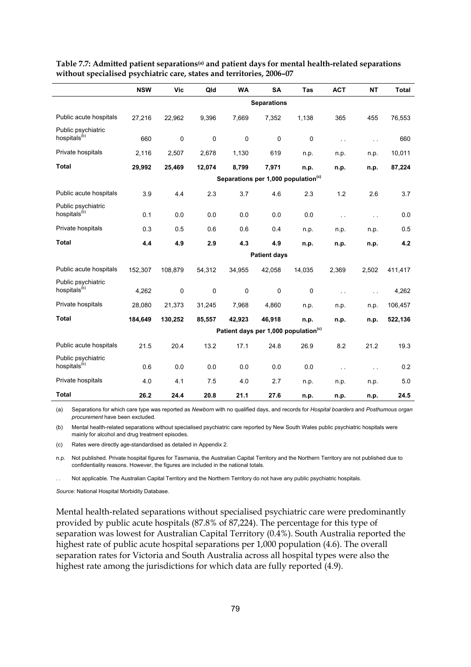|                                                | <b>NSW</b> | <b>Vic</b>  | Qld         | <b>WA</b>   | <b>SA</b>           | Tas                                              | <b>ACT</b>    | <b>NT</b>     | <b>Total</b> |
|------------------------------------------------|------------|-------------|-------------|-------------|---------------------|--------------------------------------------------|---------------|---------------|--------------|
|                                                |            |             |             |             | <b>Separations</b>  |                                                  |               |               |              |
| Public acute hospitals                         | 27,216     | 22,962      | 9,396       | 7,669       | 7,352               | 1,138                                            | 365           | 455           | 76,553       |
| Public psychiatric                             |            |             |             |             |                     |                                                  |               |               |              |
| hospitals <sup>(b)</sup>                       | 660        | $\mathbf 0$ | $\mathbf 0$ | $\mathbf 0$ | $\mathbf 0$         | $\mathbf 0$                                      | $\sim$ $\sim$ | $\sim$ .      | 660          |
| Private hospitals                              | 2,116      | 2,507       | 2,678       | 1,130       | 619                 | n.p.                                             | n.p.          | n.p.          | 10,011       |
| <b>Total</b>                                   | 29,992     | 25,469      | 12,074      | 8,799       | 7,971               | n.p.                                             | n.p.          | n.p.          | 87,224       |
|                                                |            |             |             |             |                     | Separations per 1,000 population <sup>(c)</sup>  |               |               |              |
| Public acute hospitals                         | 3.9        | 4.4         | 2.3         | 3.7         | 4.6                 | 2.3                                              | 1.2           | 2.6           | 3.7          |
| Public psychiatric<br>hospitals <sup>(b)</sup> | 0.1        | 0.0         | 0.0         | 0.0         | 0.0                 | 0.0                                              | $\sim$ $\sim$ | $\sim$ $\sim$ | 0.0          |
| Private hospitals                              | 0.3        | 0.5         | 0.6         | 0.6         | 0.4                 | n.p.                                             | n.p.          | n.p.          | 0.5          |
| <b>Total</b>                                   | 4.4        | 4.9         | 2.9         | 4.3         | 4.9                 | n.p.                                             | n.p.          | n.p.          | 4.2          |
|                                                |            |             |             |             | <b>Patient days</b> |                                                  |               |               |              |
| Public acute hospitals                         | 152,307    | 108,879     | 54,312      | 34,955      | 42,058              | 14,035                                           | 2,369         | 2,502         | 411,417      |
| Public psychiatric<br>hospitals <sup>(b)</sup> | 4,262      | $\mathbf 0$ | 0           | $\mathbf 0$ | $\mathbf 0$         | $\mathbf 0$                                      | $\sim$ $\sim$ | $\ddotsc$     | 4,262        |
| Private hospitals                              | 28,080     | 21,373      | 31,245      | 7,968       | 4,860               | n.p.                                             | n.p.          | n.p.          | 106,457      |
| <b>Total</b>                                   | 184,649    | 130,252     | 85,557      | 42,923      | 46,918              | n.p.                                             | n.p.          | n.p.          | 522,136      |
|                                                |            |             |             |             |                     | Patient days per 1,000 population <sup>(c)</sup> |               |               |              |
| Public acute hospitals                         | 21.5       | 20.4        | 13.2        | 17.1        | 24.8                | 26.9                                             | 8.2           | 21.2          | 19.3         |
| Public psychiatric<br>hospitals <sup>(b)</sup> | 0.6        | 0.0         | 0.0         | 0.0         | 0.0                 | 0.0                                              | $\sim$ $\sim$ | $\sim$ $\sim$ | 0.2          |
| Private hospitals                              | 4.0        | 4.1         | 7.5         | 4.0         | 2.7                 | n.p.                                             | n.p.          | n.p.          | 5.0          |
| <b>Total</b>                                   | 26.2       | 24.4        | 20.8        | 21.1        | 27.6                | n.p.                                             | n.p.          | n.p.          | 24.5         |

**Table 7.7: Admitted patient separations(a) and patient days for mental health-related separations without specialised psychiatric care, states and territories, 2006–07** 

(a) Separations for which care type was reported as *Newborn* with no qualified days, and records for *Hospital boarders* and *Posthumous organ procurement* have been excluded.

(b) Mental health-related separations without specialised psychiatric care reported by New South Wales public psychiatric hospitals were mainly for alcohol and drug treatment episodes.

(c) Rates were directly age-standardised as detailed in Appendix 2.

n.p. Not published. Private hospital figures for Tasmania, the Australian Capital Territory and the Northern Territory are not published due to confidentiality reasons. However, the figures are included in the national totals.

Not applicable. The Australian Capital Territory and the Northern Territory do not have any public psychiatric hospitals.

*Source:* National Hospital Morbidity Database.

Mental health-related separations without specialised psychiatric care were predominantly provided by public acute hospitals (87.8% of 87,224). The percentage for this type of separation was lowest for Australian Capital Territory (0.4%). South Australia reported the highest rate of public acute hospital separations per 1,000 population (4.6). The overall separation rates for Victoria and South Australia across all hospital types were also the highest rate among the jurisdictions for which data are fully reported (4.9).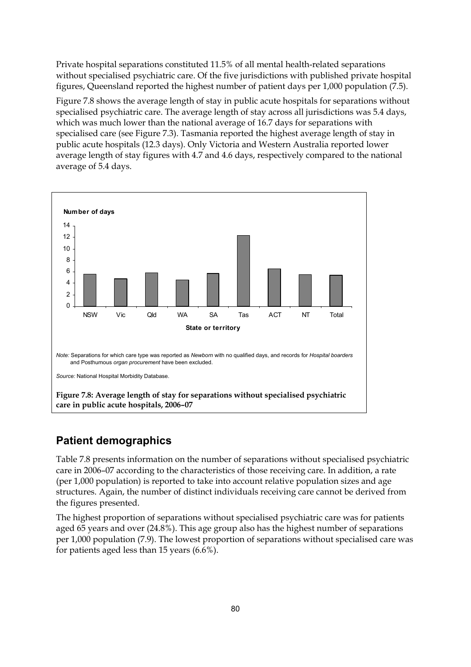Private hospital separations constituted 11.5% of all mental health-related separations without specialised psychiatric care. Of the five jurisdictions with published private hospital figures, Queensland reported the highest number of patient days per 1,000 population (7.5).

Figure 7.8 shows the average length of stay in public acute hospitals for separations without specialised psychiatric care. The average length of stay across all jurisdictions was 5.4 days, which was much lower than the national average of 16.7 days for separations with specialised care (see Figure 7.3). Tasmania reported the highest average length of stay in public acute hospitals (12.3 days). Only Victoria and Western Australia reported lower average length of stay figures with 4.7 and 4.6 days, respectively compared to the national average of 5.4 days.



### **Patient demographics**

Table 7.8 presents information on the number of separations without specialised psychiatric care in 2006–07 according to the characteristics of those receiving care. In addition, a rate (per 1,000 population) is reported to take into account relative population sizes and age structures. Again, the number of distinct individuals receiving care cannot be derived from the figures presented.

The highest proportion of separations without specialised psychiatric care was for patients aged 65 years and over (24.8%). This age group also has the highest number of separations per 1,000 population (7.9). The lowest proportion of separations without specialised care was for patients aged less than 15 years (6.6%).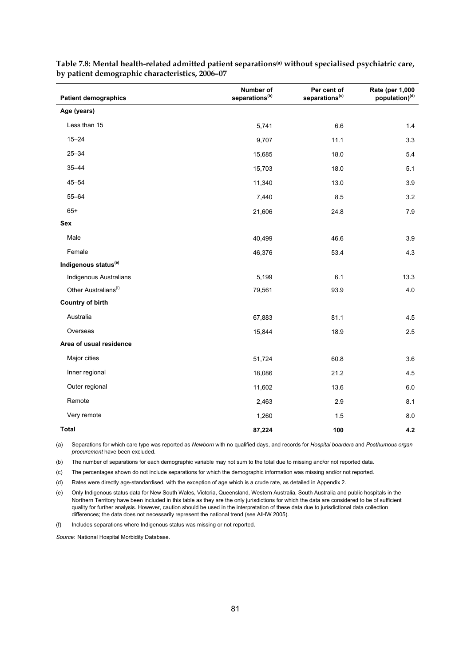| <b>Patient demographics</b>      | Number of<br>separations <sup>(b)</sup> | Per cent of<br>separations <sup>(c)</sup> | Rate (per 1,000<br>population) <sup>(d)</sup> |
|----------------------------------|-----------------------------------------|-------------------------------------------|-----------------------------------------------|
| Age (years)                      |                                         |                                           |                                               |
| Less than 15                     | 5,741                                   | 6.6                                       | 1.4                                           |
| $15 - 24$                        | 9,707                                   | 11.1                                      | 3.3                                           |
| $25 - 34$                        | 15,685                                  | 18.0                                      | 5.4                                           |
| $35 - 44$                        | 15,703                                  | 18.0                                      | 5.1                                           |
| $45 - 54$                        | 11,340                                  | 13.0                                      | 3.9                                           |
| $55 - 64$                        | 7,440                                   | 8.5                                       | 3.2                                           |
| $65+$                            | 21,606                                  | 24.8                                      | 7.9                                           |
| Sex                              |                                         |                                           |                                               |
| Male                             | 40,499                                  | 46.6                                      | 3.9                                           |
| Female                           | 46,376                                  | 53.4                                      | 4.3                                           |
| Indigenous status <sup>(e)</sup> |                                         |                                           |                                               |
| Indigenous Australians           | 5,199                                   | 6.1                                       | 13.3                                          |
| Other Australians <sup>(f)</sup> | 79,561                                  | 93.9                                      | 4.0                                           |
| <b>Country of birth</b>          |                                         |                                           |                                               |
| Australia                        | 67,883                                  | 81.1                                      | 4.5                                           |
| Overseas                         | 15,844                                  | 18.9                                      | 2.5                                           |
| Area of usual residence          |                                         |                                           |                                               |
| Major cities                     | 51,724                                  | 60.8                                      | 3.6                                           |
| Inner regional                   | 18,086                                  | 21.2                                      | 4.5                                           |
| Outer regional                   | 11,602                                  | 13.6                                      | 6.0                                           |
| Remote                           | 2,463                                   | 2.9                                       | 8.1                                           |
| Very remote                      | 1,260                                   | 1.5                                       | 8.0                                           |
| Total                            | 87,224                                  | 100                                       | 4.2                                           |

**Table 7.8: Mental health-related admitted patient separations(a) without specialised psychiatric care, by patient demographic characteristics, 2006–07** 

(a) Separations for which care type was reported as *Newborn* with no qualified days, and records for *Hospital boarders* and *Posthumous organ procurement* have been excluded.

(b) The number of separations for each demographic variable may not sum to the total due to missing and/or not reported data.

(c) The percentages shown do not include separations for which the demographic information was missing and/or not reported.

(d) Rates were directly age-standardised, with the exception of age which is a crude rate, as detailed in Appendix 2.

(e) Only Indigenous status data for New South Wales, Victoria, Queensland, Western Australia, South Australia and public hospitals in the Northern Territory have been included in this table as they are the only jurisdictions for which the data are considered to be of sufficient quality for further analysis. However, caution should be used in the interpretation of these data due to jurisdictional data collection differences; the data does not necessarily represent the national trend (see AIHW 2005).

(f) Includes separations where Indigenous status was missing or not reported.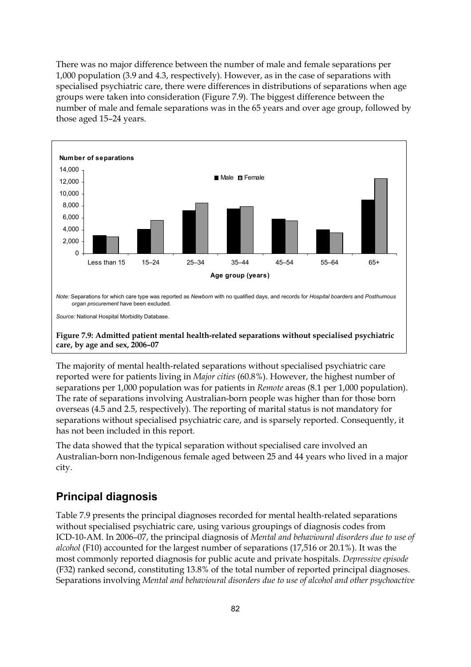There was no major difference between the number of male and female separations per 1,000 population (3.9 and 4.3, respectively). However, as in the case of separations with specialised psychiatric care, there were differences in distributions of separations when age groups were taken into consideration (Figure 7.9). The biggest difference between the number of male and female separations was in the 65 years and over age group, followed by those aged 15–24 years.



**Figure 7.9: Admitted patient mental health-related separations without specialised psychiatric care, by age and sex, 2006–07** 

The majority of mental health-related separations without specialised psychiatric care reported were for patients living in *Major cities* (60.8%). However, the highest number of separations per 1,000 population was for patients in *Remote* areas (8.1 per 1,000 population). The rate of separations involving Australian-born people was higher than for those born overseas (4.5 and 2.5, respectively). The reporting of marital status is not mandatory for separations without specialised psychiatric care, and is sparsely reported. Consequently, it has not been included in this report.

The data showed that the typical separation without specialised care involved an Australian-born non-Indigenous female aged between 25 and 44 years who lived in a major city.

### **Principal diagnosis**

Table 7.9 presents the principal diagnoses recorded for mental health-related separations without specialised psychiatric care, using various groupings of diagnosis codes from ICD-10-AM. In 2006–07, the principal diagnosis of *Mental and behavioural disorders due to use of alcohol* (F10) accounted for the largest number of separations (17,516 or 20.1%). It was the most commonly reported diagnosis for public acute and private hospitals. *Depressive episode* (F32) ranked second, constituting 13.8% of the total number of reported principal diagnoses. Separations involving *Mental and behavioural disorders due to use of alcohol and other psychoactive*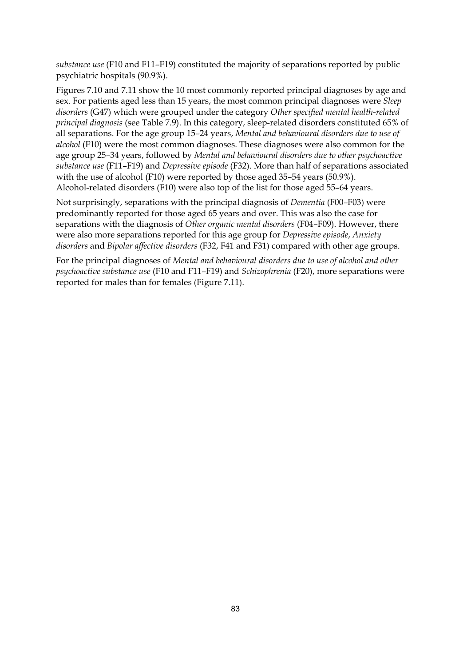*substance use* (F10 and F11–F19) constituted the majority of separations reported by public psychiatric hospitals (90.9%).

Figures 7.10 and 7.11 show the 10 most commonly reported principal diagnoses by age and sex. For patients aged less than 15 years, the most common principal diagnoses were *Sleep disorders* (G47) which were grouped under the category *Other specified mental health-related principal diagnosis* (see Table 7.9). In this category, sleep-related disorders constituted 65% of all separations. For the age group 15–24 years, *Mental and behavioural disorders due to use of alcohol* (F10) were the most common diagnoses. These diagnoses were also common for the age group 25–34 years, followed by *Mental and behavioural disorders due to other psychoactive substance use* (F11–F19) and *Depressive episode* (F32). More than half of separations associated with the use of alcohol (F10) were reported by those aged 35–54 years (50.9%). Alcohol-related disorders (F10) were also top of the list for those aged 55–64 years.

Not surprisingly, separations with the principal diagnosis of *Dementia* (F00–F03) were predominantly reported for those aged 65 years and over. This was also the case for separations with the diagnosis of *Other organic mental disorders* (F04–F09). However, there were also more separations reported for this age group for *Depressive episode*, *Anxiety disorders* and *Bipolar affective disorders* (F32, F41 and F31) compared with other age groups.

For the principal diagnoses of *Mental and behavioural disorders due to use of alcohol and other psychoactive substance use* (F10 and F11–F19) and *Schizophrenia* (F20), more separations were reported for males than for females (Figure 7.11).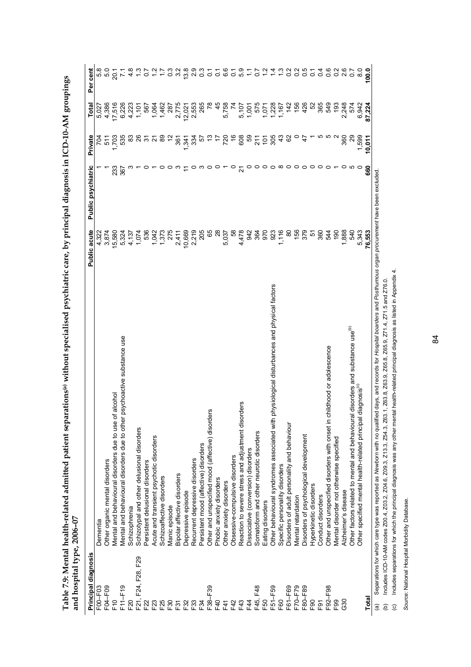| and hospital type, 2006–07 |                                                                                                |                                                                                                   |                    |                       |                                         |                    |
|----------------------------|------------------------------------------------------------------------------------------------|---------------------------------------------------------------------------------------------------|--------------------|-----------------------|-----------------------------------------|--------------------|
| Principal diagnosis        |                                                                                                | Public acute                                                                                      | Public psychiatric | Private               | Total                                   | Per cent           |
| F00-F03                    | Dementia                                                                                       | 4,322                                                                                             |                    |                       |                                         |                    |
| F04-F09                    | Other organic mental disorders                                                                 | 3,874                                                                                             |                    | $\frac{1}{5}$         | 4,386                                   | 8<br>8<br>9<br>9   |
| F <sub>10</sub>            | of alcohol<br>Mental and behavioural disorders due to use                                      | 15,580                                                                                            | 233                | 703                   | 17,516                                  | $\overline{5}$     |
| F11-F19                    | Mental and behavioural disorders due to other psychoactive substance use                       | 5,324                                                                                             | 367                | 535                   | 6,226                                   |                    |
| F20                        | Schizophrenia                                                                                  | 4,137                                                                                             |                    | <u>ဆ</u>              | 4,223                                   | $\frac{8}{4}$      |
| F21, F24, F28, F29         | Schizotypal and other delusional disorders                                                     | 1,074                                                                                             |                    | 26                    | 1,101                                   |                    |
| F22                        | Persistent delusional disorders                                                                | 536                                                                                               |                    | $\tilde{\mathcal{E}}$ | 567                                     | $\overline{0}$     |
| F23                        | Acute and transient psychotic disorders                                                        | 1,042                                                                                             |                    | ন                     | 1,064                                   |                    |
| F25                        | Schizoaffective disorders                                                                      | 1,373                                                                                             |                    | 89                    | 1,462                                   |                    |
| F30                        | Manic episode                                                                                  | 275                                                                                               |                    | $\tilde{c}$           | 287                                     |                    |
| F31                        | Bipolar affective disorders                                                                    | 2,411                                                                                             |                    | 361                   | 2,775                                   | ი<br>ო             |
| F32                        | Depressive episode                                                                             | 10,669                                                                                            |                    | 1334                  | 12,021                                  | $\frac{8}{3}$      |
| F33                        | Recurrent depressive disorders                                                                 | 2,219                                                                                             |                    |                       | 2,553                                   | $\frac{5}{2}$      |
| F34                        | Persistent mood (affective) disorders                                                          | 205                                                                                               |                    | 57                    | 265                                     |                    |
| F38-F39                    | Other and unspecified mood (affective) disorders                                               | 65                                                                                                |                    |                       |                                         | 0                  |
| F40                        | Phobic anxiety disorders                                                                       | $^{8}$                                                                                            |                    |                       | 45                                      | $\frac{1}{\alpha}$ |
| F41                        | Other anxiety disorders                                                                        | 5,037                                                                                             |                    |                       | 5,758                                   | ်<br>စ             |
| F42                        | Obsessive-compulsive disorders                                                                 | 58                                                                                                | 0                  |                       |                                         | 5                  |
| F43                        | Reaction to severe stress and adjustment disorders                                             | 4,478                                                                                             |                    | 55888758              | 5,107                                   | ္ပိ                |
| F44                        | Dissociative (conversion) disorders                                                            | 942                                                                                               |                    |                       | 1,001<br>575                            |                    |
| F45, F48                   | Somatoform and other neurotic disorders                                                        | 364                                                                                               |                    |                       |                                         | 20                 |
| E50                        | Eating disorders                                                                               | 970                                                                                               |                    |                       |                                         |                    |
| F51-F59                    | physiological disturbances and physical factors<br>Other behavioural syndromes associated with | 923                                                                                               |                    |                       |                                         |                    |
| F60                        | Specific personality disorders                                                                 | ,116                                                                                              |                    | $\frac{3}{4}$         | $\frac{1}{1}$ , 228<br>1, 228<br>1, 167 |                    |
| F61-F69                    | Disorders of adult personality and behaviour                                                   | $\frac{8}{2}$                                                                                     |                    | 82                    | $\frac{42}{150}$                        |                    |
| F70-F79                    | Mental retardation                                                                             | $156$<br>379                                                                                      |                    |                       |                                         | $\frac{2}{5}$      |
| F80-F89                    | Disorders of psychological development                                                         |                                                                                                   |                    | $\ddot{t}$            | 426                                     | ိ                  |
| E90                        | Hyperkinetic disorders                                                                         |                                                                                                   |                    |                       | 5S                                      | $\circ$            |
| F91                        | Conduct disorders                                                                              |                                                                                                   |                    |                       | 365                                     | $\circ$            |
| F92-F98                    | childhood or adolescence<br>Other and unspecified disorders with onset in                      | r 8<br>2<br>2<br>2<br>2<br>2<br>2<br>2<br>2<br>2<br>2<br>2<br>2<br>2<br>2<br>2<br>2<br>2<br>2<br> |                    |                       | 549                                     | $\circ$            |
| F99                        | Mental disorder not otherwise specified                                                        | $\frac{1}{90}$                                                                                    |                    |                       | $\frac{3}{2}$                           | $\frac{2}{3}$      |
| <b>G30</b>                 | Alzheimer's disease                                                                            | 1,888                                                                                             |                    | 360                   | 2,248                                   | $\frac{6}{2}$      |
|                            | al disorders and substance use <sup>(b)</sup><br>Other factors related to mental and behaviour | 540                                                                                               |                    | $^{29}$               | 574                                     | $\overline{c}$     |
|                            | Other specified mental health-related principal diagnosis <sup>(c)</sup>                       | 5,343                                                                                             |                    | 1,599                 | 6,942                                   | $\frac{0}{8}$      |
| Total                      |                                                                                                | 76,553                                                                                            | 660                | 10,011                | 87,224                                  | 100.0              |

Table 7.9: Mental health-related admitted patient separations<sup>(a)</sup> without specialised psychiatric care, by principal diagnosis in ICD-10-AM groupings<br>and hosenital type 2006–07 **Table 7.9: Mental health-related admitted patient separations(a) without specialised psychiatric care, by principal diagnosis in ICD-10-AM groupings and hospital type, 2006–07** 

https://www.marray.com/intervals.com/intervals.com/intervals.com/intervals.com/intervals/and/intervals/and/intervals/and/intervals/and/intervals/and/intervals/and/intervals/and/intervals/and/intervals/and/intervals/and/in (a) Separations for which care type was reported as *Newborn* with no qualified days, and records for *Hospital boarders* and *Posthumous organ procurement* have been excluded.

Includes ICD-10-AM codes Z00.4, Z03.2, Z04.6, Z09.3, Z13.3, Z54.3, Z63.1, Z63.8, Z63.9, Z65.8, Z65.9, Z71.4, Z71.5 and Z76.0. (b) Includes ICD-10-AM codes Z00.4, Z03.2, Z04.6, Z09.3, Z13.3, Z54.3, Z63.1, Z63.8, Z63.9, Z65.8, Z65.9, Z71.4, Z71.5 and Z76.0.  $\widehat{e}$   $\widehat{e}$ 

Includes separations for which the principal diagnosis was any other mental health-related principal diagnosis as listed in Appendix 4. (c) Includes separations for which the principal diagnosis was any other mental health-related principal diagnosis as listed in Appendix 4.

Source: National Hospital Morbidity Database. *Source:* National Hospital Morbidity Database.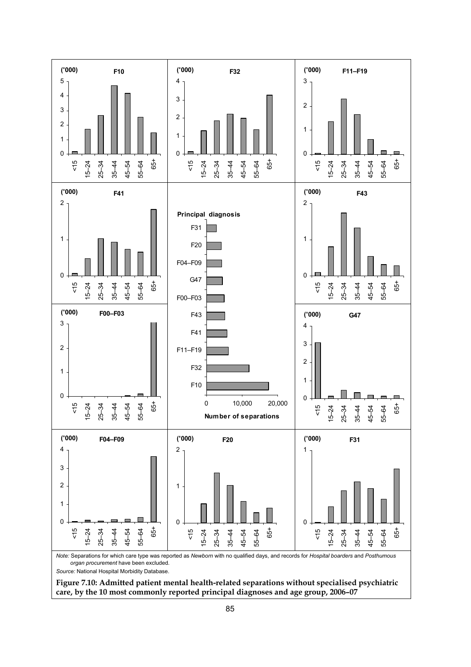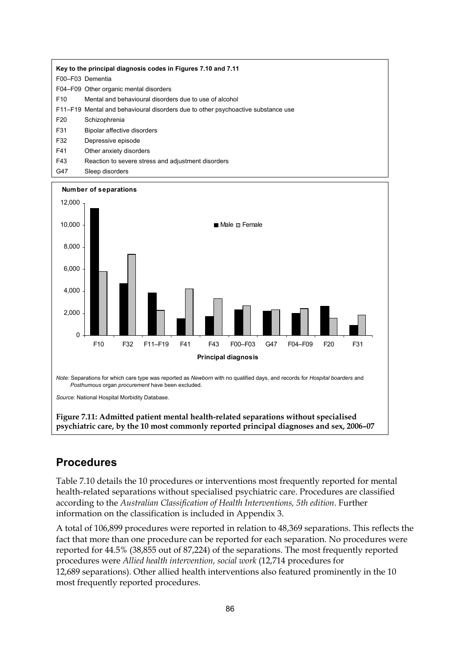|                 | Key to the principal diagnosis codes in Figures 7.10 and 7.11                    |
|-----------------|----------------------------------------------------------------------------------|
|                 | F00-F03 Dementia                                                                 |
|                 | F04-F09 Other organic mental disorders                                           |
| F <sub>10</sub> | Mental and behavioural disorders due to use of alcohol                           |
|                 | F11–F19 Mental and behavioural disorders due to other psychoactive substance use |
| F <sub>20</sub> | Schizophrenia                                                                    |
| F31             | Bipolar affective disorders                                                      |
| F32             | Depressive episode                                                               |
| F41             | Other anxiety disorders                                                          |
| F43             | Reaction to severe stress and adjustment disorders                               |
| G47             | Sleep disorders                                                                  |



#### **Procedures**

Table 7.10 details the 10 procedures or interventions most frequently reported for mental health-related separations without specialised psychiatric care. Procedures are classified according to the *Australian Classification of Health Interventions, 5th edition*. Further information on the classification is included in Appendix 3.

A total of 106,899 procedures were reported in relation to 48,369 separations. This reflects the fact that more than one procedure can be reported for each separation. No procedures were reported for 44.5% (38,855 out of 87,224) of the separations. The most frequently reported procedures were *Allied health intervention, social work* (12,714 procedures for 12,689 separations)*.* Other allied health interventions also featured prominently in the 10 most frequently reported procedures.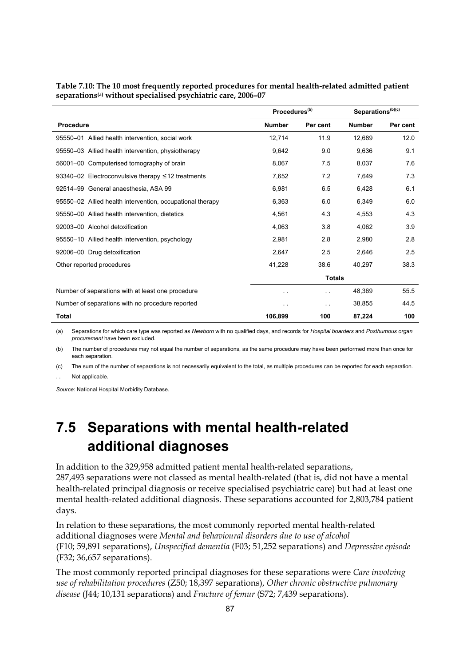|                                                           | Procedures <sup>(b)</sup> |               | Separations <sup>(b)(c)</sup> |          |
|-----------------------------------------------------------|---------------------------|---------------|-------------------------------|----------|
| <b>Procedure</b>                                          | <b>Number</b>             | Per cent      | <b>Number</b>                 | Per cent |
| 95550-01 Allied health intervention, social work          | 12.714                    | 11.9          | 12.689                        | 12.0     |
| 95550-03 Allied health intervention, physiotherapy        | 9,642                     | 9.0           | 9,636                         | 9.1      |
| 56001-00 Computerised tomography of brain                 | 8,067                     | 7.5           | 8,037                         | 7.6      |
| 93340-02 Electroconvulsive therapy $\leq$ 12 treatments   | 7,652                     | 7.2           | 7,649                         | 7.3      |
| 92514-99 General anaesthesia, ASA 99                      | 6,981                     | 6.5           | 6,428                         | 6.1      |
| 95550-02 Allied health intervention, occupational therapy | 6,363                     | 6.0           | 6,349                         | 6.0      |
| 95550-00 Allied health intervention, dietetics            | 4,561                     | 4.3           | 4,553                         | 4.3      |
| 92003-00 Alcohol detoxification                           | 4,063                     | 3.8           | 4,062                         | 3.9      |
| 95550-10 Allied health intervention, psychology           | 2,981                     | 2.8           | 2,980                         | 2.8      |
| 92006-00 Drug detoxification                              | 2,647                     | 2.5           | 2.646                         | 2.5      |
| Other reported procedures                                 | 41,228                    | 38.6          | 40,297                        | 38.3     |
|                                                           | <b>Totals</b>             |               |                               |          |
| Number of separations with at least one procedure         | . .                       | . .           | 48,369                        | 55.5     |
| Number of separations with no procedure reported          | $\sim$ $\sim$             | $\sim$ $\sim$ | 38,855                        | 44.5     |
| <b>Total</b>                                              | 106,899                   | 100           | 87,224                        | 100      |

**Table 7.10: The 10 most frequently reported procedures for mental health-related admitted patient separations(a) without specialised psychiatric care, 2006–07** 

(a) Separations for which care type was reported as *Newborn* with no qualified days, and records for *Hospital boarders* and *Posthumous organ procurement* have been excluded.

(b) The number of procedures may not equal the number of separations, as the same procedure may have been performed more than once for each separation.

(c) The sum of the number of separations is not necessarily equivalent to the total, as multiple procedures can be reported for each separation. Not applicable.

*Source:* National Hospital Morbidity Database.

## **7.5 Separations with mental health-related additional diagnoses**

In addition to the 329,958 admitted patient mental health-related separations, 287,493 separations were not classed as mental health-related (that is, did not have a mental health-related principal diagnosis or receive specialised psychiatric care) but had at least one mental health-related additional diagnosis. These separations accounted for 2,803,784 patient days.

In relation to these separations, the most commonly reported mental health-related additional diagnoses were *Mental and behavioural disorders due to use of alcohol*  (F10; 59,891 separations), *Unspecified dementia* (F03; 51,252 separations) and *Depressive episode* (F32; 36,657 separations).

The most commonly reported principal diagnoses for these separations were *Care involving use of rehabilitation procedures* (Z50; 18,397 separations), *Other chronic obstructive pulmonary disease* (J44; 10,131 separations) and *Fracture of femur* (S72; 7,439 separations).